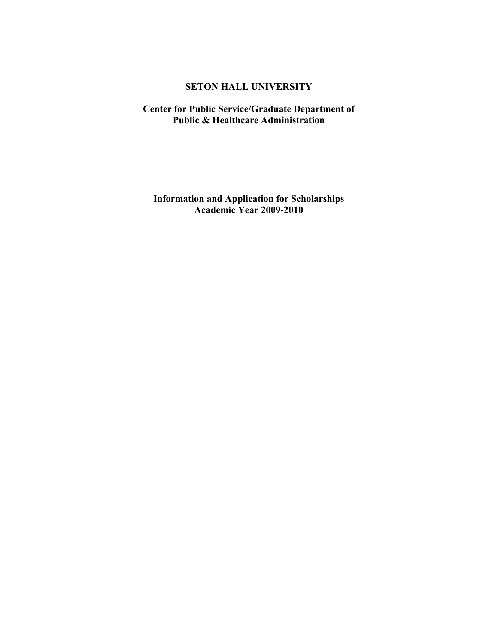# **SETON HALL UNIVERSITY**

# **Center for Public Service/Graduate Department of Public & Healthcare Administration**

**Information and Application for Scholarships Academic Year 2009-2010**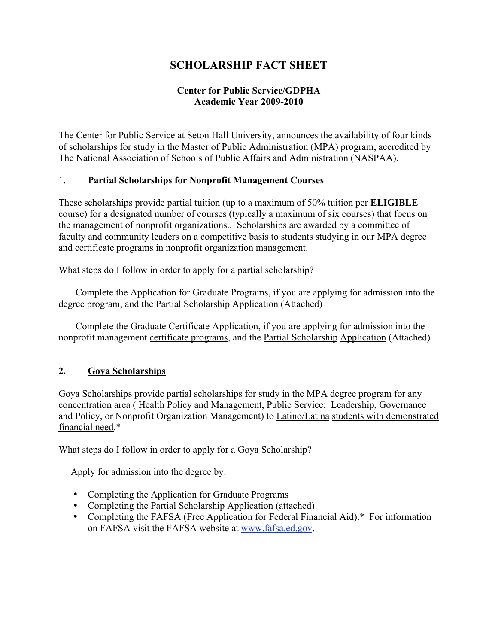# **SCHOLARSHIP FACT SHEET**

# **Center for Public Service/GDPHA Academic Year 2009-2010**

The Center for Public Service at Seton Hall University, announces the availability of four kinds of scholarships for study in the Master of Public Administration (MPA) program, accredited by The National Association of Schools of Public Affairs and Administration (NASPAA).

#### 1. **Partial Scholarships for Nonprofit Management Courses**

These scholarships provide partial tuition (up to a maximum of 50% tuition per **ELIGIBLE**  course) for a designated number of courses (typically a maximum of six courses) that focus on the management of nonprofit organizations.. Scholarships are awarded by a committee of faculty and community leaders on a competitive basis to students studying in our MPA degree and certificate programs in nonprofit organization management.

What steps do I follow in order to apply for a partial scholarship?

Complete the Application for Graduate Programs, if you are applying for admission into the degree program, and the Partial Scholarship Application (Attached)

 Complete the Graduate Certificate Application, if you are applying for admission into the nonprofit management certificate programs, and the Partial Scholarship Application (Attached)

# **2. Goya Scholarships**

Goya Scholarships provide partial scholarships for study in the MPA degree program for any concentration area ( Health Policy and Management, Public Service: Leadership, Governance and Policy, or Nonprofit Organization Management) to Latino/Latina students with demonstrated financial need.\*

What steps do I follow in order to apply for a Goya Scholarship?

Apply for admission into the degree by:

- Completing the Application for Graduate Programs
- Completing the Partial Scholarship Application (attached)
- Completing the FAFSA (Free Application for Federal Financial Aid).\* For information on FAFSA visit the FAFSA website at www.fafsa.ed.gov.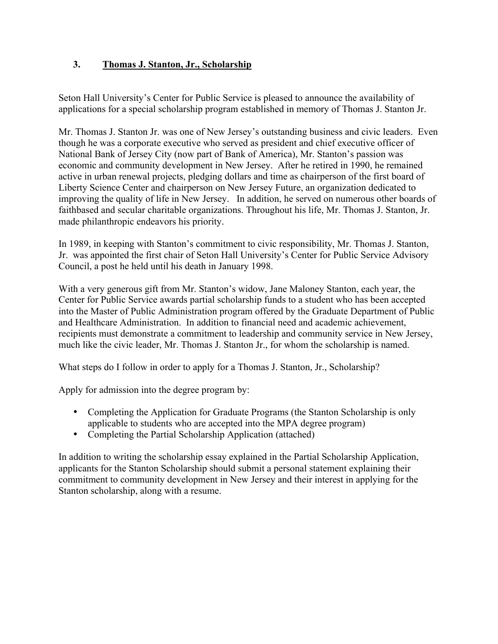# **3. Thomas J. Stanton, Jr., Scholarship**

Seton Hall University's Center for Public Service is pleased to announce the availability of applications for a special scholarship program established in memory of Thomas J. Stanton Jr.

Mr. Thomas J. Stanton Jr. was one of New Jersey's outstanding business and civic leaders. Even though he was a corporate executive who served as president and chief executive officer of National Bank of Jersey City (now part of Bank of America), Mr. Stanton's passion was economic and community development in New Jersey. After he retired in 1990, he remained active in urban renewal projects, pledging dollars and time as chairperson of the first board of Liberty Science Center and chairperson on New Jersey Future, an organization dedicated to improving the quality of life in New Jersey. In addition, he served on numerous other boards of faithbased and secular charitable organizations. Throughout his life, Mr. Thomas J. Stanton, Jr. made philanthropic endeavors his priority.

In 1989, in keeping with Stanton's commitment to civic responsibility, Mr. Thomas J. Stanton, Jr. was appointed the first chair of Seton Hall University's Center for Public Service Advisory Council, a post he held until his death in January 1998.

With a very generous gift from Mr. Stanton's widow, Jane Maloney Stanton, each year, the Center for Public Service awards partial scholarship funds to a student who has been accepted into the Master of Public Administration program offered by the Graduate Department of Public and Healthcare Administration. In addition to financial need and academic achievement, recipients must demonstrate a commitment to leadership and community service in New Jersey, much like the civic leader, Mr. Thomas J. Stanton Jr., for whom the scholarship is named.

What steps do I follow in order to apply for a Thomas J. Stanton, Jr., Scholarship?

Apply for admission into the degree program by:

- Completing the Application for Graduate Programs (the Stanton Scholarship is only applicable to students who are accepted into the MPA degree program)
- Completing the Partial Scholarship Application (attached)

In addition to writing the scholarship essay explained in the Partial Scholarship Application, applicants for the Stanton Scholarship should submit a personal statement explaining their commitment to community development in New Jersey and their interest in applying for the Stanton scholarship, along with a resume.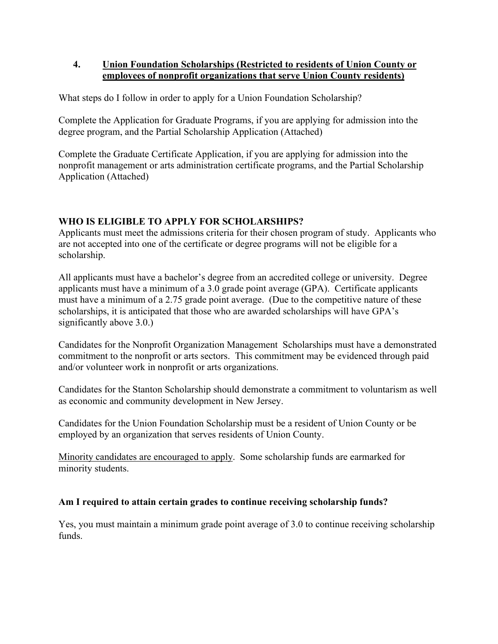### **4. Union Foundation Scholarships (Restricted to residents of Union County or employees of nonprofit organizations that serve Union County residents)**

What steps do I follow in order to apply for a Union Foundation Scholarship?

Complete the Application for Graduate Programs, if you are applying for admission into the degree program, and the Partial Scholarship Application (Attached)

Complete the Graduate Certificate Application, if you are applying for admission into the nonprofit management or arts administration certificate programs, and the Partial Scholarship Application (Attached)

# **WHO IS ELIGIBLE TO APPLY FOR SCHOLARSHIPS?**

Applicants must meet the admissions criteria for their chosen program of study. Applicants who are not accepted into one of the certificate or degree programs will not be eligible for a scholarship.

All applicants must have a bachelor's degree from an accredited college or university. Degree applicants must have a minimum of a 3.0 grade point average (GPA). Certificate applicants must have a minimum of a 2.75 grade point average. (Due to the competitive nature of these scholarships, it is anticipated that those who are awarded scholarships will have GPA's significantly above 3.0.)

Candidates for the Nonprofit Organization Management Scholarships must have a demonstrated commitment to the nonprofit or arts sectors. This commitment may be evidenced through paid and/or volunteer work in nonprofit or arts organizations.

Candidates for the Stanton Scholarship should demonstrate a commitment to voluntarism as well as economic and community development in New Jersey.

Candidates for the Union Foundation Scholarship must be a resident of Union County or be employed by an organization that serves residents of Union County.

Minority candidates are encouraged to apply. Some scholarship funds are earmarked for minority students.

# **Am I required to attain certain grades to continue receiving scholarship funds?**

Yes, you must maintain a minimum grade point average of 3.0 to continue receiving scholarship funds.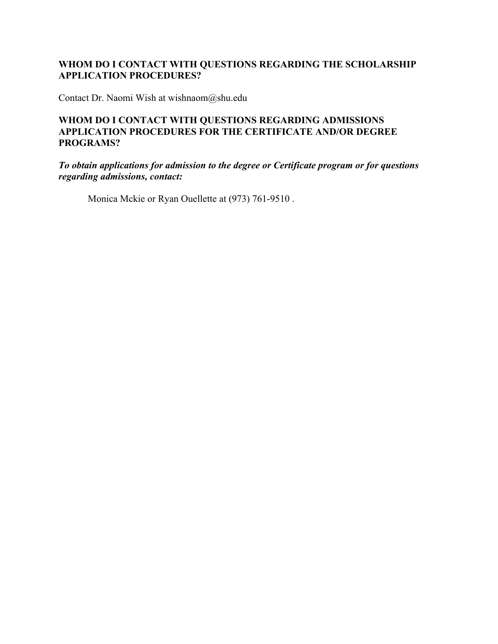# **WHOM DO I CONTACT WITH QUESTIONS REGARDING THE SCHOLARSHIP APPLICATION PROCEDURES?**

Contact Dr. Naomi Wish at wishnaom@shu.edu

#### **WHOM DO I CONTACT WITH QUESTIONS REGARDING ADMISSIONS APPLICATION PROCEDURES FOR THE CERTIFICATE AND/OR DEGREE PROGRAMS?**

*To obtain applications for admission to the degree or Certificate program or for questions regarding admissions, contact:*

Monica Mckie or Ryan Ouellette at (973) 761-9510 .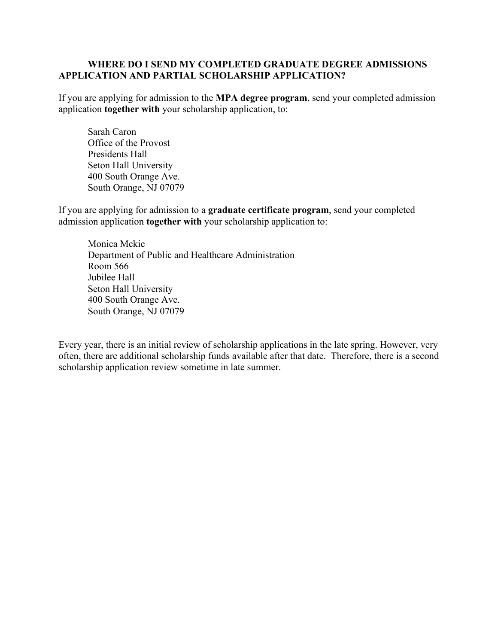#### **WHERE DO I SEND MY COMPLETED GRADUATE DEGREE ADMISSIONS APPLICATION AND PARTIAL SCHOLARSHIP APPLICATION?**

If you are applying for admission to the **MPA degree program**, send your completed admission application **together with** your scholarship application, to:

 Sarah Caron Office of the Provost Presidents Hall Seton Hall University 400 South Orange Ave. South Orange, NJ 07079

If you are applying for admission to a **graduate certificate program**, send your completed admission application **together with** your scholarship application to:

Monica Mckie Department of Public and Healthcare Administration Room 566 Jubilee Hall Seton Hall University 400 South Orange Ave. South Orange, NJ 07079

Every year, there is an initial review of scholarship applications in the late spring. However, very often, there are additional scholarship funds available after that date. Therefore, there is a second scholarship application review sometime in late summer.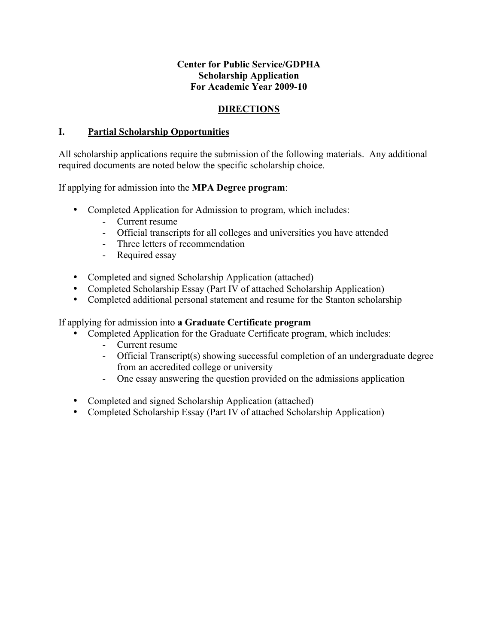# **Center for Public Service/GDPHA Scholarship Application For Academic Year 2009-10**

# **DIRECTIONS**

# **I. Partial Scholarship Opportunities**

All scholarship applications require the submission of the following materials. Any additional required documents are noted below the specific scholarship choice.

If applying for admission into the **MPA Degree program**:

- Completed Application for Admission to program, which includes:
	- Current resume
	- Official transcripts for all colleges and universities you have attended
	- Three letters of recommendation
	- Required essay
- Completed and signed Scholarship Application (attached)
- Completed Scholarship Essay (Part IV of attached Scholarship Application)
- Completed additional personal statement and resume for the Stanton scholarship

If applying for admission into **a Graduate Certificate program**

- Completed Application for the Graduate Certificate program, which includes:
	- Current resume
	- Official Transcript(s) showing successful completion of an undergraduate degree from an accredited college or university
	- One essay answering the question provided on the admissions application
- Completed and signed Scholarship Application (attached)
- Completed Scholarship Essay (Part IV of attached Scholarship Application)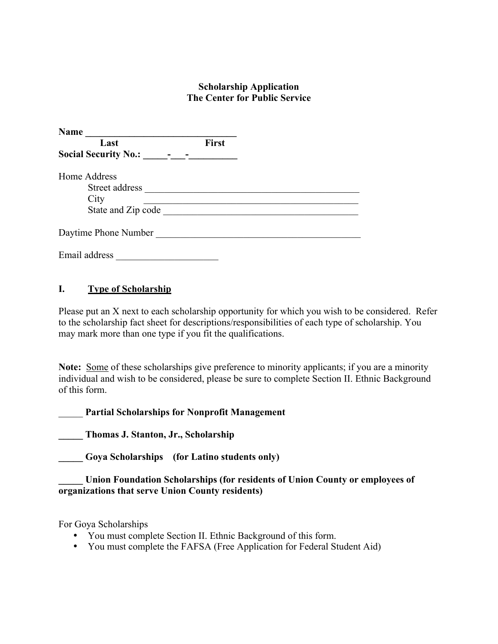#### **Scholarship Application The Center for Public Service**

| <b>Name</b>                 |              |  |
|-----------------------------|--------------|--|
| Last                        | <b>First</b> |  |
| <b>Social Security No.:</b> |              |  |
| Home Address                |              |  |
| Street address              |              |  |
| City                        |              |  |
| State and Zip code          |              |  |
| Daytime Phone Number        |              |  |
|                             |              |  |
| Email address               |              |  |

#### **I. Type of Scholarship**

Please put an X next to each scholarship opportunity for which you wish to be considered. Refer to the scholarship fact sheet for descriptions/responsibilities of each type of scholarship. You may mark more than one type if you fit the qualifications.

**Note:** Some of these scholarships give preference to minority applicants; if you are a minority individual and wish to be considered, please be sure to complete Section II. Ethnic Background of this form.

\_\_\_\_\_ **Partial Scholarships for Nonprofit Management**

**\_\_\_\_\_ Thomas J. Stanton, Jr., Scholarship**

**\_\_\_\_\_ Goya Scholarships (for Latino students only)**

**\_\_\_\_\_ Union Foundation Scholarships (for residents of Union County or employees of organizations that serve Union County residents)**

For Goya Scholarships

- You must complete Section II. Ethnic Background of this form.
- You must complete the FAFSA (Free Application for Federal Student Aid)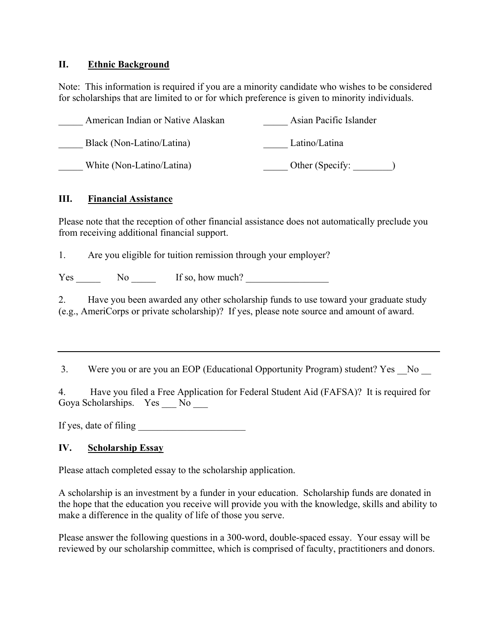#### **II. Ethnic Background**

Note: This information is required if you are a minority candidate who wishes to be considered for scholarships that are limited to or for which preference is given to minority individuals.

| American Indian or Native Alaskan | Asian Pacific Islander |
|-----------------------------------|------------------------|
| Black (Non-Latino/Latina)         | Latino/Latina          |
| White (Non-Latino/Latina)         | Other (Specify:        |

#### **III. Financial Assistance**

Please note that the reception of other financial assistance does not automatically preclude you from receiving additional financial support.

1. Are you eligible for tuition remission through your employer?

Yes No If so, how much?

2. Have you been awarded any other scholarship funds to use toward your graduate study (e.g., AmeriCorps or private scholarship)? If yes, please note source and amount of award.

3. Were you or are you an EOP (Educational Opportunity Program) student? Yes No

4. Have you filed a Free Application for Federal Student Aid (FAFSA)? It is required for Goya Scholarships. Yes No

If yes, date of filing

# **IV. Scholarship Essay**

Please attach completed essay to the scholarship application.

A scholarship is an investment by a funder in your education. Scholarship funds are donated in the hope that the education you receive will provide you with the knowledge, skills and ability to make a difference in the quality of life of those you serve.

Please answer the following questions in a 300-word, double-spaced essay. Your essay will be reviewed by our scholarship committee, which is comprised of faculty, practitioners and donors.